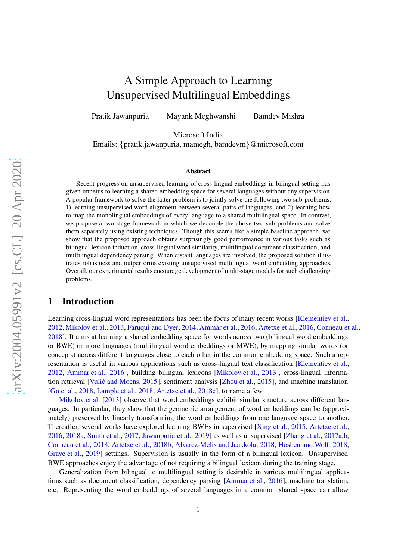# A Simple Approach to Learning Unsupervised Multilingual Embeddings

Pratik Jawanpuria Mayank Meghwanshi Bamdev Mishra

Microsoft India

Emails: {pratik.jawanpuria, mamegh, bamdevm}@microsoft.com

#### Abstract

Recent progress on unsupervised learning of cross-lingual embeddings in bilingual setting has given impetus to learning a shared embedding space for several languages without any supervision. A popular framework to solve the latter problem is to jointly solve the following two sub-problems: 1) learning unsupervised word alignment between several pairs of languages, and 2) learning how to map the monolingual embeddings of every language to a shared multilingual space. In contrast, we propose a two-stage framework in which we decouple the above two sub-problems and solve them separately using existing techniques. Though this seems like a simple baseline approach, we show that the proposed approach obtains surprisingly good performance in various tasks such as bilingual lexicon induction, cross-lingual word similarity, multilingual document classification, and multilingual dependency parsing. When distant languages are involved, the proposed solution illustrates robustness and outperforms existing unsupervised multilingual word embedding approaches. Overall, our experimental results encourage development of multi-stage models for such challenging problems.

# 1 Introduction

Learning cross-lingual word representations has been the focus of many recent works [\[Klementiev et al.,](#page-11-0) [2012,](#page-11-0) [Mikolov et al.,](#page-11-1) [2013](#page-11-1), [Faruqui and Dyer](#page-10-0), [2014](#page-10-0), [Ammar et al.,](#page-9-0) [2016](#page-9-0), [Artetxe et al.,](#page-10-1) [2016](#page-10-1), [Conneau et al.,](#page-10-2) [2018\]](#page-10-2). It aims at learning a shared embedding space for words across two (bilingual word embeddings or BWE) or more languages (multilingual word embeddings or MWE), by mapping similar words (or concepts) across different languages close to each other in the common embedding space. Such a representation is useful in various applications such as cross-lingual text classification [\[Klementiev et al.,](#page-11-0) [2012,](#page-11-0) [Ammar et al.](#page-9-0), [2016\]](#page-9-0), building bilingual lexicons [\[Mikolov et al.,](#page-11-1) [2013](#page-11-1)], cross-lingual informa-tion retrieval [Vulić and Moens, [2015\]](#page-12-0), sentiment analysis [\[Zhou et al.,](#page-12-1) [2015](#page-12-1)], and machine translation [\[Gu et al.,](#page-11-2) [2018](#page-11-2), [Lample et al.,](#page-11-3) [2018](#page-11-3), [Artetxe et al.](#page-10-3), [2018c](#page-10-3)], to name a few.

[Mikolov et al.](#page-11-1) [\[2013](#page-11-1)] observe that word embeddings exhibit similar structure across different languages. In particular, they show that the geometric arrangement of word embeddings can be (approximately) preserved by linearly transforming the word embeddings from one language space to another. Thereafter, several works have explored learning BWEs in supervised [\[Xing et al.,](#page-12-2) [2015](#page-12-2), [Artetxe et al.,](#page-10-1) [2016,](#page-10-1) [2018a,](#page-10-4) [Smith et al.](#page-12-3), [2017](#page-12-3), [Jawanpuria et al.](#page-11-4), [2019](#page-11-4)] as well as unsupervised [\[Zhang et al.,](#page-12-4) [2017a](#page-12-4)[,b,](#page-12-5) [Conneau et al.,](#page-10-2) [2018](#page-10-2), [Artetxe et al.](#page-10-5), [2018b](#page-10-5), [Alvarez-Melis and Jaakkola](#page-9-1), [2018](#page-9-1), [Hoshen and Wolf](#page-11-5), [2018,](#page-11-5) [Grave et al.](#page-11-6), [2019](#page-11-6)] settings. Supervision is usually in the form of a bilingual lexicon. Unsupervised BWE approaches enjoy the advantage of not requiring a bilingual lexicon during the training stage.

Generalization from bilingual to multilingual setting is desirable in various multilingual applications such as document classification, dependency parsing [\[Ammar et al.](#page-9-0), [2016\]](#page-9-0), machine translation, etc. Representing the word embeddings of several languages in a common shared space can allow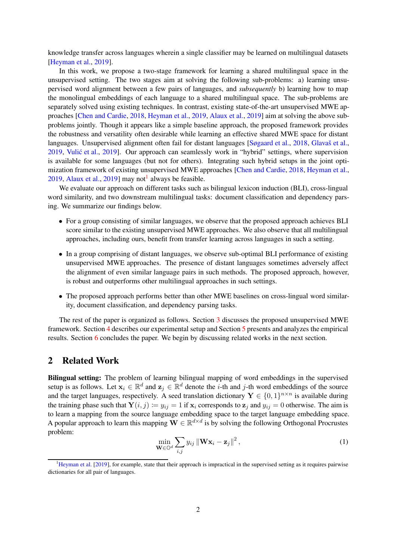knowledge transfer across languages wherein a single classifier may be learned on multilingual datasets [\[Heyman et al.](#page-11-7), [2019](#page-11-7)].

In this work, we propose a two-stage framework for learning a shared multilingual space in the unsupervised setting. The two stages aim at solving the following sub-problems: a) learning unsupervised word alignment between a few pairs of languages, and *subsequently* b) learning how to map the monolingual embeddings of each language to a shared multilingual space. The sub-problems are separately solved using existing techniques. In contrast, existing state-of-the-art unsupervised MWE approaches [\[Chen and Cardie](#page-10-6), [2018](#page-10-6), [Heyman et al.,](#page-11-7) [2019,](#page-11-7) [Alaux et al.,](#page-9-2) [2019\]](#page-9-2) aim at solving the above subproblems jointly. Though it appears like a simple baseline approach, the proposed framework provides the robustness and versatility often desirable while learning an effective shared MWE space for distant languages. Unsupervised alignment often fail for distant languages [\[Søgaard et al.,](#page-12-6) [2018](#page-12-6), Glavaš et al., [2019,](#page-11-8) Vulić et al., [2019\]](#page-12-7). Our approach can seamlessly work in "hybrid" settings, where supervision is available for some languages (but not for others). Integrating such hybrid setups in the joint optimization framework of existing unsupervised MWE approaches [\[Chen and Cardie,](#page-10-6) [2018](#page-10-6), [Heyman et al.,](#page-11-7)  $2019$ , [Alaux et al.,](#page-9-2)  $2019$  $2019$  $2019$ ] may not<sup>1</sup> always be feasible.

We evaluate our approach on different tasks such as bilingual lexicon induction (BLI), cross-lingual word similarity, and two downstream multilingual tasks: document classification and dependency parsing. We summarize our findings below.

- For a group consisting of similar languages, we observe that the proposed approach achieves BLI score similar to the existing unsupervised MWE approaches. We also observe that all multilingual approaches, including ours, benefit from transfer learning across languages in such a setting.
- In a group comprising of distant languages, we observe sub-optimal BLI performance of existing unsupervised MWE approaches. The presence of distant languages sometimes adversely affect the alignment of even similar language pairs in such methods. The proposed approach, however, is robust and outperforms other multilingual approaches in such settings.
- The proposed approach performs better than other MWE baselines on cross-lingual word similarity, document classification, and dependency parsing tasks.

The rest of the paper is organized as follows. Section [3](#page-2-0) discusses the proposed unsupervised MWE framework. Section [4](#page-4-0) describes our experimental setup and Section [5](#page-5-0) presents and analyzes the empirical results. Section [6](#page-9-3) concludes the paper. We begin by discussing related works in the next section.

## 2 Related Work

Bilingual setting: The problem of learning bilingual mapping of word embeddings in the supervised setup is as follows. Let  $x_i \in \mathbb{R}^d$  and  $z_j \in \mathbb{R}^d$  denote the *i*-th and *j*-th word embeddings of the source and the target languages, respectively. A seed translation dictionary  $\mathbf{Y} \in \{0,1\}^{n \times n}$  is available during the training phase such that  $Y(i, j) := y_{ij} = 1$  if  $x_i$  corresponds to  $z_j$  and  $y_{ij} = 0$  otherwise. The aim is to learn a mapping from the source language embedding space to the target language embedding space. A popular approach to learn this mapping  $\mathbf{W} \in \mathbb{R}^{d \times d}$  is by solving the following Orthogonal Procrustes problem:

$$
\min_{\mathbf{W}\in\mathbb{O}^d} \sum_{i,j} y_{ij} \left\| \mathbf{W} \mathbf{x}_i - \mathbf{z}_j \right\|^2, \tag{1}
$$

<span id="page-1-1"></span><span id="page-1-0"></span> $<sup>1</sup>$ [Heyman et al.](#page-11-7) [\[2019](#page-11-7)], for example, state that their approach is impractical in the supervised setting as it requires pairwise</sup> dictionaries for all pair of languages.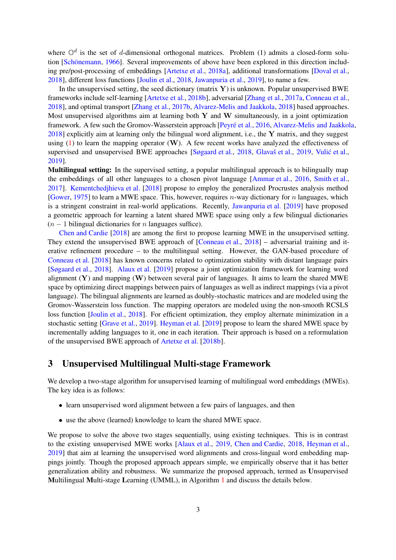where  $\mathbb{O}^d$  is the set of d-dimensional orthogonal matrices. Problem (1) admits a closed-form solu-tion [Schönemann, [1966\]](#page-12-8). Several improvements of above have been explored in this direction including pre/post-processing of embeddings [\[Artetxe et al.,](#page-10-4) [2018a](#page-10-4)], additional transformations [\[Doval et al.,](#page-10-7) [2018\]](#page-10-7), different loss functions [\[Joulin et al.](#page-11-9), [2018](#page-11-9), [Jawanpuria et al.](#page-11-4), [2019](#page-11-4)], to name a few.

In the unsupervised setting, the seed dictionary (matrix  $\bf{Y}$ ) is unknown. Popular unsupervised BWE frameworks include self-learning [\[Artetxe et al.](#page-10-5), [2018b](#page-10-5)], adversarial [\[Zhang et al.](#page-12-4), [2017a](#page-12-4), [Conneau et al.](#page-10-2), [2018\]](#page-10-2), and optimal transport [\[Zhang et al.](#page-12-5), [2017b,](#page-12-5) [Alvarez-Melis and Jaakkola](#page-9-1), [2018](#page-9-1)] based approaches. Most unsupervised algorithms aim at learning both  $Y$  and  $W$  simultaneously, in a joint optimization framework. A few such the Gromov-Wasserstein approach [Peyré et al., [2016](#page-11-10), [Alvarez-Melis and Jaakkola](#page-9-1),  $2018$ ] explicitly aim at learning only the bilingual word alignment, i.e., the Y matrix, and they suggest using [\(1\)](#page-1-1) to learn the mapping operator  $(W)$ . A few recent works have analyzed the effectiveness of supervised and unsupervised BWE approaches [\[Søgaard et al.](#page-12-6), [2018](#page-12-6), Glavaš et al., [2019](#page-11-8), Vulić et al., [2019\]](#page-12-7).

Multilingual setting: In the supervised setting, a popular multilingual approach is to bilingually map the embeddings of all other languages to a chosen pivot language [\[Ammar et al.](#page-9-0), [2016](#page-9-0), [Smith et al.,](#page-12-3) [2017\]](#page-12-3). [Kementchedjhieva et al.](#page-11-11) [\[2018](#page-11-11)] propose to employ the generalized Procrustes analysis method [\[Gower](#page-11-12), [1975](#page-11-12)] to learn a MWE space. This, however, requires  $n$ -way dictionary for  $n$  languages, which is a stringent constraint in real-world applications. Recently, [Jawanpuria et al.](#page-11-4) [\[2019\]](#page-11-4) have proposed a geometric approach for learning a latent shared MWE space using only a few bilingual dictionaries  $(n - 1)$  bilingual dictionaries for n languages suffice).

[Chen and Cardie](#page-10-6) [\[2018](#page-10-6)] are among the first to propose learning MWE in the unsupervised setting. They extend the unsupervised BWE approach of [\[Conneau et al.,](#page-10-2) [2018](#page-10-2)] – adversarial training and iterative refinement procedure – to the multilingual setting. However, the GAN-based procedure of [Conneau et al.](#page-10-2) [\[2018](#page-10-2)] has known concerns related to optimization stability with distant language pairs [\[Søgaard et al.](#page-12-6), [2018](#page-12-6)]. [Alaux et al.](#page-9-2) [\[2019](#page-9-2)] propose a joint optimization framework for learning word alignment  $(Y)$  and mapping  $(W)$  between several pair of languages. It aims to learn the shared MWE space by optimizing direct mappings between pairs of languages as well as indirect mappings (via a pivot language). The bilingual alignments are learned as doubly-stochastic matrices and are modeled using the Gromov-Wasserstein loss function. The mapping operators are modeled using the non-smooth RCSLS loss function [\[Joulin et al.](#page-11-9), [2018](#page-11-9)]. For efficient optimization, they employ alternate minimization in a stochastic setting [\[Grave et al.](#page-11-6), [2019\]](#page-11-6). [Heyman et al.](#page-11-7) [\[2019](#page-11-7)] propose to learn the shared MWE space by incrementally adding languages to it, one in each iteration. Their approach is based on a reformulation of the unsupervised BWE approach of [Artetxe et al.](#page-10-5) [\[2018b](#page-10-5)].

# <span id="page-2-0"></span>3 Unsupervised Multilingual Multi-stage Framework

We develop a two-stage algorithm for unsupervised learning of multilingual word embeddings (MWEs). The key idea is as follows:

- learn unsupervised word alignment between a few pairs of languages, and then
- use the above (learned) knowledge to learn the shared MWE space.

We propose to solve the above two stages sequentially, using existing techniques. This is in contrast to the existing unsupervised MWE works [\[Alaux et al.](#page-9-2), [2019,](#page-9-2) [Chen and Cardie,](#page-10-6) [2018](#page-10-6), [Heyman et al.,](#page-11-7) [2019\]](#page-11-7) that aim at learning the unsupervised word alignments and cross-lingual word embedding mappings jointly. Though the proposed approach appears simple, we empirically observe that it has better generalization ability and robustness. We summarize the proposed approach, termed as Unsupervised Multilingual Multi-stage Learning (UMML), in Algorithm [1](#page-3-0) and discuss the details below.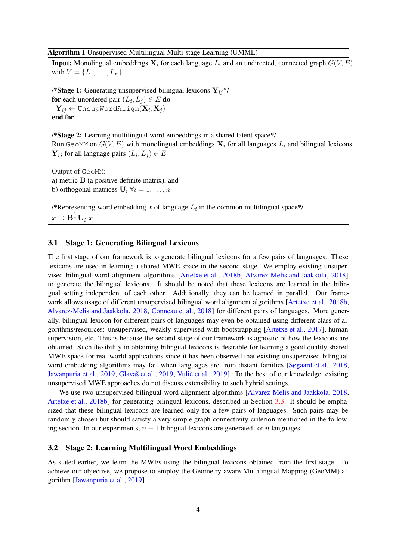#### <span id="page-3-0"></span>Algorithm 1 Unsupervised Multilingual Multi-stage Learning (UMML)

**Input:** Monolingual embeddings  $X_i$  for each language  $L_i$  and an undirected, connected graph  $G(V, E)$ with  $V = \{L_1, \ldots, L_n\}$ 

/\*Stage 1: Generating unsupervised bilingual lexicons  $Y_{ii}$ \*/ for each unordered pair  $(L_i,L_j)\in E$  do  $\mathbf{Y}_{ij} \leftarrow \texttt{UnsupWorldalign}(\mathbf{X}_i, \mathbf{X}_j)$ end for

/\*Stage 2: Learning multilingual word embeddings in a shared latent space\*/ Run GeoMM on  $G(V, E)$  with monolingual embeddings  $X_i$  for all languages  $L_i$  and bilingual lexicons  $\mathbf{Y}_{ij}$  for all language pairs  $(L_i, L_j) \in E$ 

Output of GeoMM: a) metric B (a positive definite matrix), and b) orthogonal matrices  $U_i \forall i = 1, ..., n$ 

/\*Representing word embedding x of language  $L_i$  in the common multilingual space\*/  $x \rightarrow \mathbf{B}^{\frac{1}{2}} \mathbf{U}_i^{\top} x$ 

#### 3.1 Stage 1: Generating Bilingual Lexicons

The first stage of our framework is to generate bilingual lexicons for a few pairs of languages. These lexicons are used in learning a shared MWE space in the second stage. We employ existing unsupervised bilingual word alignment algorithms [\[Artetxe et al.](#page-10-5), [2018b,](#page-10-5) [Alvarez-Melis and Jaakkola](#page-9-1), [2018](#page-9-1)] to generate the bilingual lexicons. It should be noted that these lexicons are learned in the bilingual setting independent of each other. Additionally, they can be learned in parallel. Our framework allows usage of different unsupervised bilingual word alignment algorithms [\[Artetxe et al.](#page-10-5), [2018b,](#page-10-5) [Alvarez-Melis and Jaakkola](#page-9-1), [2018](#page-9-1), [Conneau et al.](#page-10-2), [2018](#page-10-2)] for different pairs of languages. More generally, bilingual lexicon for different pairs of languages may even be obtained using different class of algorithms/resources: unsupervised, weakly-supervised with bootstrapping [\[Artetxe et al.](#page-10-8), [2017\]](#page-10-8), human supervision, etc. This is because the second stage of our framework is agnostic of how the lexicons are obtained. Such flexibility in obtaining bilingual lexicons is desirable for learning a good quality shared MWE space for real-world applications since it has been observed that existing unsupervised bilingual word embedding algorithms may fail when languages are from distant families [\[Søgaard et al.](#page-12-6), [2018,](#page-12-6) [Jawanpuria et al.](#page-11-4), [2019,](#page-11-4) Glavaš et al., [2019](#page-12-7), Vulić et al., 2019]. To the best of our knowledge, existing unsupervised MWE approaches do not discuss extensibility to such hybrid settings.

We use two unsupervised bilingual word alignment algorithms [\[Alvarez-Melis and Jaakkola](#page-9-1), [2018,](#page-9-1) [Artetxe et al.](#page-10-5), [2018b](#page-10-5)] for generating bilingual lexicons, described in Section [3.3.](#page-4-1) It should be emphasized that these bilingual lexicons are learned only for a few pairs of languages. Such pairs may be randomly chosen but should satisfy a very simple graph-connectivity criterion mentioned in the following section. In our experiments,  $n - 1$  bilingual lexicons are generated for n languages.

### 3.2 Stage 2: Learning Multilingual Word Embeddings

As stated earlier, we learn the MWEs using the bilingual lexicons obtained from the first stage. To achieve our objective, we propose to employ the Geometry-aware Multilingual Mapping (GeoMM) algorithm [\[Jawanpuria et al.](#page-11-4), [2019](#page-11-4)].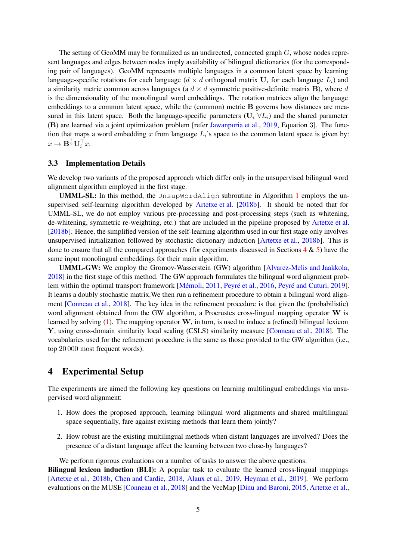The setting of GeoMM may be formalized as an undirected, connected graph G, whose nodes represent languages and edges between nodes imply availability of bilingual dictionaries (for the corresponding pair of languages). GeoMM represents multiple languages in a common latent space by learning language-specific rotations for each language ( $d \times d$  orthogonal matrix  $U_i$  for each language  $L_i$ ) and a similarity metric common across languages (a  $d \times d$  symmetric positive-definite matrix **B**), where d is the dimensionality of the monolingual word embeddings. The rotation matrices align the language embeddings to a common latent space, while the (common) metric B governs how distances are measured in this latent space. Both the language-specific parameters ( $U_i \forall L_i$ ) and the shared parameter (B) are learned via a joint optimization problem [refer [Jawanpuria et al.](#page-11-4), [2019,](#page-11-4) Equation 3]. The function that maps a word embedding x from language  $L_i$ 's space to the common latent space is given by:  $x \to \mathbf{B}^{\frac{1}{2}} \mathbf{U}_i^{\top} x.$ 

#### <span id="page-4-1"></span>3.3 Implementation Details

We develop two variants of the proposed approach which differ only in the unsupervised bilingual word alignment algorithm employed in the first stage.

UMML-SL: In this method, the UnsupWordAlign subroutine in Algorithm [1](#page-3-0) employs the unsupervised self-learning algorithm developed by [Artetxe et al.](#page-10-5) [\[2018b](#page-10-5)]. It should be noted that for UMML-SL, we do not employ various pre-processing and post-processing steps (such as whitening, de-whitening, symmetric re-weighting, etc.) that are included in the pipeline proposed by [Artetxe et al.](#page-10-5) [\[2018b\]](#page-10-5). Hence, the simplified version of the self-learning algorithm used in our first stage only involves unsupervised initialization followed by stochastic dictionary induction [\[Artetxe et al.](#page-10-5), [2018b\]](#page-10-5). This is done to ensure that all the compared approaches (for experiments discussed in Sections  $4 \& 5$  $4 \& 5$ ) have the same input monolingual embeddings for their main algorithm.

UMML-GW: We employ the Gromov-Wasserstein (GW) algorithm [\[Alvarez-Melis and Jaakkola,](#page-9-1) [2018\]](#page-9-1) in the first stage of this method. The GW approach formulates the bilingual word alignment prob-lem within the optimal transport framework [Mémoli, [2011,](#page-11-13) Peyré et al., [2016](#page-11-10), Peyré and Cuturi, [2019\]](#page-11-14). It learns a doubly stochastic matrix.We then run a refinement procedure to obtain a bilingual word alignment [\[Conneau et al.](#page-10-2), [2018](#page-10-2)]. The key idea in the refinement procedure is that given the (probabilistic) word alignment obtained from the GW algorithm, a Procrustes cross-lingual mapping operator W is learned by solving  $(1)$ . The mapping operator W, in turn, is used to induce a (refined) bilingual lexicon Y, using cross-domain similarity local scaling (CSLS) similarity measure [\[Conneau et al.](#page-10-2), [2018](#page-10-2)]. The vocabularies used for the refinement procedure is the same as those provided to the GW algorithm (i.e., top 20 000 most frequent words).

## <span id="page-4-0"></span>4 Experimental Setup

The experiments are aimed the following key questions on learning multilingual embeddings via unsupervised word alignment:

- 1. How does the proposed approach, learning bilingual word alignments and shared multilingual space sequentially, fare against existing methods that learn them jointly?
- 2. How robust are the existing multilingual methods when distant languages are involved? Does the presence of a distant language affect the learning between two close-by languages?

We perform rigorous evaluations on a number of tasks to answer the above questions.

Bilingual lexicon induction (BLI): A popular task to evaluate the learned cross-lingual mappings [\[Artetxe et al.](#page-10-5), [2018b](#page-10-5), [Chen and Cardie](#page-10-6), [2018](#page-10-6), [Alaux et al.,](#page-9-2) [2019](#page-9-2), [Heyman et al.,](#page-11-7) [2019](#page-11-7)]. We perform evaluations on the MUSE [\[Conneau et al.,](#page-10-2) [2018](#page-10-2)] and the VecMap [\[Dinu and Baroni](#page-10-9), [2015](#page-10-9), [Artetxe et al.,](#page-10-8)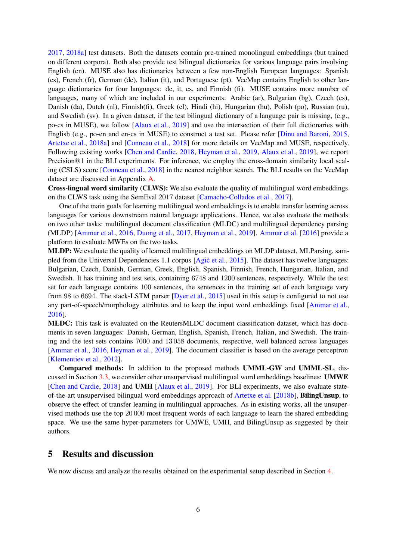[2017,](#page-10-8) [2018a](#page-10-4)] test datasets. Both the datasets contain pre-trained monolingual embeddings (but trained on different corpora). Both also provide test bilingual dictionaries for various language pairs involving English (en). MUSE also has dictionaries between a few non-English European languages: Spanish (es), French (fr), German (de), Italian (it), and Portuguese (pt). VecMap contains English to other language dictionaries for four languages: de, it, es, and Finnish (fi). MUSE contains more number of languages, many of which are included in our experiments: Arabic (ar), Bulgarian (bg), Czech (cs), Danish (da), Dutch (nl), Finnish(fi), Greek (el), Hindi (hi), Hungarian (hu), Polish (po), Russian (ru), and Swedish (sv). In a given dataset, if the test bilingual dictionary of a language pair is missing, (e.g., po-cs in MUSE), we follow [\[Alaux et al.,](#page-9-2) [2019](#page-9-2)] and use the intersection of their full dictionaries with English (e.g., po-en and en-cs in MUSE) to construct a test set. Please refer [\[Dinu and Baroni,](#page-10-9) [2015,](#page-10-9) [Artetxe et al.](#page-10-4), [2018a\]](#page-10-4) and [\[Conneau et al.](#page-10-2), [2018](#page-10-2)] for more details on VecMap and MUSE, respectively. Following existing works [\[Chen and Cardie](#page-10-6), [2018](#page-10-6), [Heyman et al.,](#page-11-7) [2019,](#page-11-7) [Alaux et al.](#page-9-2), [2019](#page-9-2)], we report Precision@1 in the BLI experiments. For inference, we employ the cross-domain similarity local scaling (CSLS) score [\[Conneau et al.,](#page-10-2) [2018\]](#page-10-2) in the nearest neighbor search. The BLI results on the VecMap dataset are discussed in Appendix [A.](#page-13-0)

Cross-lingual word similarity (CLWS): We also evaluate the quality of multilingual word embeddings on the CLWS task using the SemEval 2017 dataset [\[Camacho-Collados et al.](#page-10-10), [2017](#page-10-10)].

One of the main goals for learning multilingual word embeddings is to enable transfer learning across languages for various downstream natural language applications. Hence, we also evaluate the methods on two other tasks: multilingual document classification (MLDC) and multilingual dependency parsing (MLDP) [\[Ammar et al.,](#page-9-0) [2016](#page-9-0), [Duong et al.](#page-10-11), [2017,](#page-10-11) [Heyman et al.](#page-11-7), [2019](#page-11-7)]. [Ammar et al.](#page-9-0) [\[2016](#page-9-0)] provide a platform to evaluate MWEs on the two tasks.

MLDP: We evaluate the quality of learned multilingual embeddings on MLDP dataset, MLParsing, sam-pled from the Universal Dependencies 1.1 corpus [Agić et al., [2015](#page-9-4)]. The dataset has twelve languages: Bulgarian, Czech, Danish, German, Greek, English, Spanish, Finnish, French, Hungarian, Italian, and Swedish. It has training and test sets, containing 6748 and 1200 sentences, respectively. While the test set for each language contains 100 sentences, the sentences in the training set of each language vary from 98 to 6694. The stack-LSTM parser [\[Dyer et al.](#page-10-12), [2015\]](#page-10-12) used in this setup is configured to not use any part-of-speech/morphology attributes and to keep the input word embeddings fixed [\[Ammar et al.,](#page-9-0) [2016\]](#page-9-0).

MLDC: This task is evaluated on the ReutersMLDC document classification dataset, which has documents in seven languages: Danish, German, English, Spanish, French, Italian, and Swedish. The training and the test sets contains 7000 and 13 058 documents, respective, well balanced across languages [\[Ammar et al.,](#page-9-0) [2016](#page-9-0), [Heyman et al.,](#page-11-7) [2019](#page-11-7)]. The document classifier is based on the average perceptron [\[Klementiev et al.](#page-11-0), [2012](#page-11-0)].

Compared methods: In addition to the proposed methods UMML-GW and UMML-SL, discussed in Section [3.3,](#page-4-1) we consider other unsupervised multilingual word embeddings baselines: UMWE [\[Chen and Cardie,](#page-10-6) [2018\]](#page-10-6) and UMH [\[Alaux et al.](#page-9-2), [2019](#page-9-2)]. For BLI experiments, we also evaluate stateof-the-art unsupervised bilingual word embeddings approach of [Artetxe et al.](#page-10-5) [\[2018b](#page-10-5)], BilingUnsup, to observe the effect of transfer learning in multilingual approaches. As in existing works, all the unsupervised methods use the top 20 000 most frequent words of each language to learn the shared embedding space. We use the same hyper-parameters for UMWE, UMH, and BilingUnsup as suggested by their authors.

### <span id="page-5-0"></span>5 Results and discussion

We now discuss and analyze the results obtained on the experimental setup described in Section [4.](#page-4-0)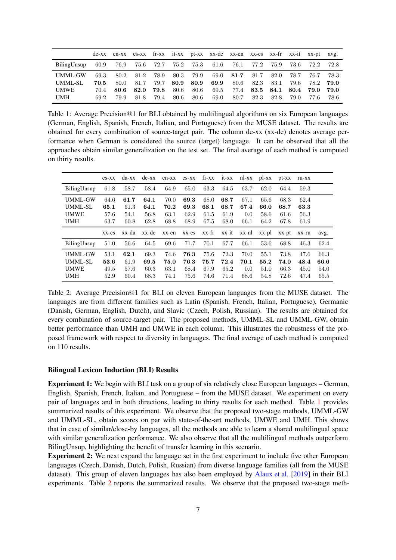<span id="page-6-0"></span>

|                    |              |      |                   |      |                  |      | de-xx en-xx es-xx fr-xx it-xx pt-xx xx-de xx-en xx-es xx-fr xx-it xx-pt avg.                 |      |      |      |      |                     |        |
|--------------------|--------------|------|-------------------|------|------------------|------|----------------------------------------------------------------------------------------------|------|------|------|------|---------------------|--------|
| $BilingUnsup$ 60.9 |              |      |                   |      |                  |      | 76.9 75.6 72.7 75.2 75.3 61.6 76.1 77.2                                                      |      |      |      |      | 75.9 73.6 72.2 72.8 |        |
| UMML-GW<br>UMML-SL | 69.3<br>70.5 | 80.0 | 80.2 81.2<br>81.7 |      |                  |      | 78.9 80.3 79.9 69.0 81.7 81.7 82.0 78.7<br>79.7 80.9 80.9 69.9 80.6 82.3 83.1 79.6 78.2 79.0 |      |      |      |      | 76.7 78.3           |        |
| <b>UMWE</b>        | 70.4         | 80.6 | 82.0              |      | <b>79.8</b> 80.6 |      | 80.6 69.5 77.4 83.5 84.1 80.4 79.0                                                           |      |      |      |      |                     | - 79.0 |
| UMH                | 69.2         | 79.9 | 81.8              | 79.4 | 80.6             | 80.6 | 69.0                                                                                         | 80.7 | 82.3 | 82.8 | 79.0 | -77.6               | -78.6  |

Table 1: Average Precision@1 for BLI obtained by multilingual algorithms on six European languages (German, English, Spanish, French, Italian, and Portuguese) from the MUSE dataset. The results are obtained for every combination of source-target pair. The column de-xx (xx-de) denotes average performance when German is considered the source (target) language. It can be observed that all the approaches obtain similar generalization on the test set. The final average of each method is computed on thirty results.

<span id="page-6-1"></span>

|                                                        | $CS-XX$                      | da-xx                        | $de$ -xx                     | en-xx                        | $es$ - $XX$                  | fr-xx                        |                              | it-xx nl-xx                 | $p$ -XX                      | $pt-xx$                      | ru-xx                        |                      |
|--------------------------------------------------------|------------------------------|------------------------------|------------------------------|------------------------------|------------------------------|------------------------------|------------------------------|-----------------------------|------------------------------|------------------------------|------------------------------|----------------------|
| BilingUnsup                                            | 61.8                         | 58.7                         | 58.4                         | 64.9                         | 65.0                         | 63.3                         | 64.5                         | 63.7                        | 62.0                         | 64.4                         | 59.3                         |                      |
| <b>UMML-GW</b><br>UMML-SL<br><b>UMWE</b><br><b>UMH</b> | 64.6<br>65.1<br>57.6<br>63.7 | 61.7<br>61.3<br>54.1<br>60.8 | 64.1<br>64.1<br>56.8<br>62.8 | 70.0<br>70.2<br>63.1<br>68.8 | 69.3<br>69.3<br>62.9<br>68.9 | 68.0<br>68.1<br>61.5<br>67.5 | 68.7<br>68.7<br>61.9<br>68.0 | 67.1<br>67.4<br>0.0<br>66.1 | 65.6<br>66.0<br>58.6<br>64.2 | 68.3<br>68.7<br>61.6<br>67.8 | 62.4<br>63.3<br>56.3<br>61.9 |                      |
|                                                        | $XX$ -CS                     | xx-da                        | xx-de                        | xx-en                        | $XX-ES$                      | xx-fr                        | xx-it                        | xx-nl                       | xx-pl                        | $XX$ - $pt$                  | xx-ru                        | avg.                 |
| BilingUnsup                                            | 51.0                         | 56.6                         | 64.5                         | 69.6                         | 71.7                         | 70.1                         | 67.7                         | 66.1                        | 53.6                         | 68.8                         | 46.3                         | 62.4                 |
| <b>UMML-GW</b><br>UMML-SL<br><b>UMWE</b>               | 53.1<br>53.6<br>49.5         | 62.1<br>61.9<br>57.6         | 69.3<br>69.5<br>60.3         | 74.6<br>75.0<br>63.1         | 76.3<br>76.3<br>68.4         | 75.6<br>75.7<br>67.9         | 72.3<br>72.4<br>65.2         | 70.0<br>70.1<br>0.0         | 55.1<br>55.2<br>51.0         | 73.8<br>74.0<br>66.3         | 47.6<br>48.4<br>45.0         | 66.3<br>66.6<br>54.0 |

Table 2: Average Precision@1 for BLI on eleven European languages from the MUSE dataset. The languages are from different families such as Latin (Spanish, French, Italian, Portuguese), Germanic (Danish, German, English, Dutch), and Slavic (Czech, Polish, Russian). The results are obtained for every combination of source-target pair. The proposed methods, UMML-SL and UMML-GW, obtain better performance than UMH and UMWE in each column. This illustrates the robustness of the proposed framework with respect to diversity in languages. The final average of each method is computed on 110 results.

#### Bilingual Lexicon Induction (BLI) Results

Experiment 1: We begin with BLI task on a group of six relatively close European languages – German, English, Spanish, French, Italian, and Portuguese – from the MUSE dataset. We experiment on every pair of languages and in both directions, leading to thirty results for each method. Table [1](#page-6-0) provides summarized results of this experiment. We observe that the proposed two-stage methods, UMML-GW and UMML-SL, obtain scores on par with state-of-the-art methods, UMWE and UMH. This shows that in case of similar/close-by languages, all the methods are able to learn a shared multilingual space with similar generalization performance. We also observe that all the multilingual methods outperform BilingUnsup, highlighting the benefit of transfer learning in this scenario.

Experiment 2: We next expand the language set in the first experiment to include five other European languages (Czech, Danish, Dutch, Polish, Russian) from diverse language families (all from the MUSE dataset). This group of eleven languages has also been employed by [Alaux et al.](#page-9-2) [\[2019](#page-9-2)] in their BLI experiments. Table [2](#page-6-1) reports the summarized results. We observe that the proposed two-stage meth-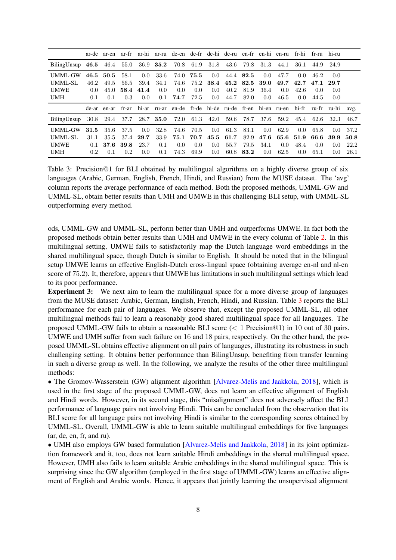<span id="page-7-0"></span>

|                                                        |                                      | ar-de ar-en                 |                             | ar-fr ar-hi                                    |                            | ar-ru de-en de-fr de-hi de-ru en-fr en-hi en-ru fr-hi fr-ru                  |                             |                                               |                              |                                   |                                                |                                 |                                                |                             | hi-ru                               |                              |
|--------------------------------------------------------|--------------------------------------|-----------------------------|-----------------------------|------------------------------------------------|----------------------------|------------------------------------------------------------------------------|-----------------------------|-----------------------------------------------|------------------------------|-----------------------------------|------------------------------------------------|---------------------------------|------------------------------------------------|-----------------------------|-------------------------------------|------------------------------|
| BilingUnsup 46.5 46.4 55.0 36.9 35.2 70.8 61.9 31.8    |                                      |                             |                             |                                                |                            |                                                                              |                             |                                               | - 43.6                       | 79.8                              | 31.3                                           | 44.1                            | 36.1                                           | 44.9                        | 24.9                                |                              |
| <b>UMML-GW</b><br>UMML-SL<br><b>UMWE</b><br><b>UMH</b> | 46.5<br>46.2<br>$0.0^{\circ}$<br>0.1 | 50.5<br>49.5<br>45.0<br>0.1 | 58.1<br>56.5<br>58.4<br>0.3 | $0.0^{\circ}$<br>39.4<br>41.4<br>$0.0^{\circ}$ | 33.6<br>34.1<br>0.0<br>0.1 | 74.0<br>74.6<br>0.0<br>74.7                                                  | 75.5<br>75.2<br>0.0<br>72.5 | $0.0^{\circ}$<br>38.4<br>$0.0^{\circ}$<br>0.0 | 45.2<br>40.2<br>44.7         | 44.4 82.5<br>82.5<br>81.9<br>82.0 | $0.0^{\circ}$<br>39.0<br>36.4<br>$0.0^{\circ}$ | 47.7<br>49.7<br>$0.0^-$<br>46.5 | $0.0^{\circ}$<br>42.7<br>42.6<br>$0.0^{\circ}$ | 46.2<br>47.1<br>0.0<br>44.5 | $0.0^{\circ}$<br>29.7<br>0.0<br>0.0 |                              |
|                                                        |                                      | de-ar en-ar                 | fr-ar                       |                                                |                            | hi-ar ru-ar en-de fr-de hi-de ru-de fr-en hi-en ru-en hi-fr ru-fr ru-hi avg. |                             |                                               |                              |                                   |                                                |                                 |                                                |                             |                                     |                              |
| BilingUnsup                                            |                                      |                             |                             |                                                |                            | 30.8 29.4 37.7 28.7 35.0 72.0 61.3 42.0 59.6                                 |                             |                                               |                              | 78.7                              | -37.6                                          | 59.2                            | 45.4                                           | 62.6                        | 32.3                                | 46.7                         |
| <b>UMML-GW</b><br>UMML-SL<br><b>UMWE</b><br><b>UMH</b> | 31.5<br>31.1<br>0.1<br>0.2           | 35.6<br>35.5<br>37.6<br>0.1 | 37.5<br>37.4<br>39.8<br>0.2 | $0.0^{\circ}$<br>29.7<br>23.7<br>0.0           | 32.8<br>33.9<br>0.1<br>0.1 | 74.6<br>75.1<br>0.0<br>74.3                                                  | 70.5<br>70.7<br>0.0<br>69.9 | $0.0^{\circ}$<br>45.5<br>$0.0^{\circ}$<br>0.0 | 61.3<br>61.7<br>55.7<br>60.8 | 83.1<br>82.9<br>79.5<br>83.2      | $0.0^-$<br>47.6<br>34.1<br>$0.0^{\circ}$       | 62.9<br>$0.0^{\circ}$<br>62.5   | $0.0^{\circ}$<br>65.6 51.9<br>48.4<br>0.0      | 65.8<br>66.6<br>0.0<br>65.1 | 0.0<br>-39.9<br>0.0<br>0.0          | 37.2<br>50.8<br>22.2<br>26.1 |

Table 3: Precision@1 for BLI obtained by multilingual algorithms on a highly diverse group of six languages (Arabic, German, English, French, Hindi, and Russian) from the MUSE dataset. The 'avg' column reports the average performance of each method. Both the proposed methods, UMML-GW and UMML-SL, obtain better results than UMH and UMWE in this challenging BLI setup, with UMML-SL outperforming every method.

ods, UMML-GW and UMML-SL, perform better than UMH and outperforms UMWE. In fact both the proposed methods obtain better results than UMH and UMWE in the every column of Table [2.](#page-6-1) In this multilingual setting, UMWE fails to satisfactorily map the Dutch language word embeddings in the shared multilingual space, though Dutch is similar to English. It should be noted that in the bilingual setup UMWE learns an effective English-Dutch cross-lingual space (obtaining average en-nl and nl-en score of 75.2). It, therefore, appears that UMWE has limitations in such multilingual settings which lead to its poor performance.

Experiment 3: We next aim to learn the multilingual space for a more diverse group of languages from the MUSE dataset: Arabic, German, English, French, Hindi, and Russian. Table [3](#page-7-0) reports the BLI performance for each pair of languages. We observe that, except the proposed UMML-SL, all other multilingual methods fail to learn a reasonably good shared multilingual space for all languages. The proposed UMML-GW fails to obtain a reasonable BLI score (< 1 Precision@1) in 10 out of 30 pairs. UMWE and UMH suffer from such failure on 16 and 18 pairs, respectively. On the other hand, the proposed UMML-SL obtains effective alignment on all pairs of languages, illustrating its robustness in such challenging setting. It obtains better performance than BilingUnsup, benefiting from transfer learning in such a diverse group as well. In the following, we analyze the results of the other three multilingual methods:

• The Gromov-Wasserstein (GW) alignment algorithm [\[Alvarez-Melis and Jaakkola](#page-9-1), [2018\]](#page-9-1), which is used in the first stage of the proposed UMML-GW, does not learn an effective alignment of English and Hindi words. However, in its second stage, this "misalignment" does not adversely affect the BLI performance of language pairs not involving Hindi. This can be concluded from the observation that its BLI score for all language pairs not involving Hindi is similar to the corresponding scores obtained by UMML-SL. Overall, UMML-GW is able to learn suitable multilingual embeddings for five languages (ar, de, en, fr, and ru).

• UMH also employs GW based formulation [\[Alvarez-Melis and Jaakkola](#page-9-1), [2018\]](#page-9-1) in its joint optimization framework and it, too, does not learn suitable Hindi embeddings in the shared multilingual space. However, UMH also fails to learn suitable Arabic embeddings in the shared multilingual space. This is surprising since the GW algorithm (employed in the first stage of UMML-GW) learns an effective alignment of English and Arabic words. Hence, it appears that jointly learning the unsupervised alignment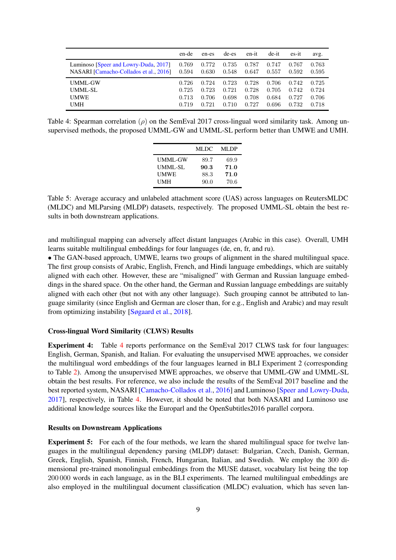<span id="page-8-0"></span>

|                                        | en-de | en-es | de-es | en-it | $de-it$ | $es-it$ | avg.  |
|----------------------------------------|-------|-------|-------|-------|---------|---------|-------|
| Luminoso [Speer and Lowry-Duda, 2017]  | 0.769 | 0.772 | 0.735 | 0.787 | 0.747   | 0.767   | 0.763 |
| NASARI [Camacho-Collados et al., 2016] | 0.594 | 0.630 | 0.548 | 0.647 | 0.557   | 0.592   | 0.595 |
| UMML-GW                                | 0.726 | 0.724 | 0.723 | 0.728 | 0.706   | 0.742   | 0.725 |
| UMML-SL                                | 0.725 | 0.723 | 0.721 | 0.728 | 0.705   | 0.742   | 0.724 |
| <b>UMWE</b>                            | 0.713 | 0.706 | 0.698 | 0.708 | 0.684   | 0.727   | 0.706 |
| UMH                                    | 0.719 | 0.721 | 0.710 | 0.727 | 0.696   | 0.732   | 0.718 |

<span id="page-8-1"></span>Table 4: Spearman correlation ( $\rho$ ) on the SemEval 2017 cross-lingual word similarity task. Among unsupervised methods, the proposed UMML-GW and UMML-SL perform better than UMWE and UMH.

|                | MLDC | MLDP |
|----------------|------|------|
| <b>UMML-GW</b> | 89.7 | 69.9 |
| UMML-SL        | 90.3 | 71.0 |
| UMWE           | 88.3 | 71.0 |
| UMH            | 90.0 | 70.6 |

Table 5: Average accuracy and unlabeled attachment score (UAS) across languages on ReutersMLDC (MLDC) and MLParsing (MLDP) datasets, respectively. The proposed UMML-SL obtain the best results in both downstream applications.

and multilingual mapping can adversely affect distant languages (Arabic in this case). Overall, UMH learns suitable multilingual embeddings for four languages (de, en, fr, and ru).

• The GAN-based approach, UMWE, learns two groups of alignment in the shared multilingual space. The first group consists of Arabic, English, French, and Hindi language embeddings, which are suitably aligned with each other. However, these are "misaligned" with German and Russian language embeddings in the shared space. On the other hand, the German and Russian language embeddings are suitably aligned with each other (but not with any other language). Such grouping cannot be attributed to language similarity (since English and German are closer than, for e.g., English and Arabic) and may result from optimizing instability [\[Søgaard et al.](#page-12-6), [2018\]](#page-12-6).

#### Cross-lingual Word Similarity (CLWS) Results

Experiment 4: Table [4](#page-8-0) reports performance on the SemEval 2017 CLWS task for four languages: English, German, Spanish, and Italian. For evaluating the unsupervised MWE approaches, we consider the multilingual word embeddings of the four languages learned in BLI Experiment 2 (corresponding to Table [2\)](#page-6-1). Among the unsupervised MWE approaches, we observe that UMML-GW and UMML-SL obtain the best results. For reference, we also include the results of the SemEval 2017 baseline and the best reported system, NASARI [\[Camacho-Collados et al.](#page-10-13), [2016\]](#page-10-13) and Luminoso [\[Speer and Lowry-Duda,](#page-12-9) [2017\]](#page-12-9), respectively, in Table [4.](#page-8-0) However, it should be noted that both NASARI and Luminoso use additional knowledge sources like the Europarl and the OpenSubtitles2016 parallel corpora.

#### Results on Downstream Applications

**Experiment 5:** For each of the four methods, we learn the shared multilingual space for twelve languages in the multilingual dependency parsing (MLDP) dataset: Bulgarian, Czech, Danish, German, Greek, English, Spanish, Finnish, French, Hungarian, Italian, and Swedish. We employ the 300 dimensional pre-trained monolingual embeddings from the MUSE dataset, vocabulary list being the top 200 000 words in each language, as in the BLI experiments. The learned multilingual embeddings are also employed in the multilingual document classification (MLDC) evaluation, which has seven lan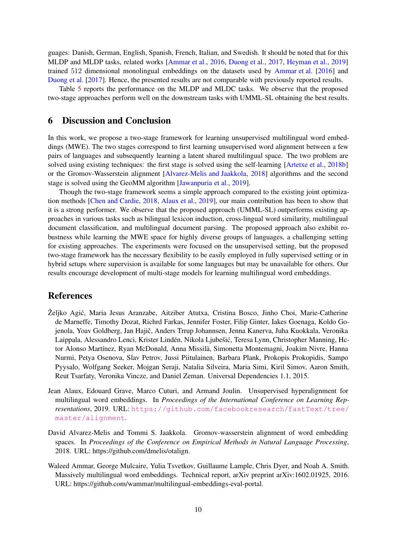guages: Danish, German, English, Spanish, French, Italian, and Swedish. It should be noted that for this MLDP and MLDP tasks, related works [\[Ammar et al.,](#page-9-0) [2016](#page-9-0), [Duong et al.](#page-10-11), [2017](#page-10-11), [Heyman et al.,](#page-11-7) [2019](#page-11-7)] trained 512 dimensional monolingual embeddings on the datasets used by [Ammar et al.](#page-9-0) [\[2016](#page-9-0)] and [Duong et al.](#page-10-11) [\[2017\]](#page-10-11). Hence, the presented results are not comparable with previously reported results.

Table [5](#page-8-1) reports the performance on the MLDP and MLDC tasks. We observe that the proposed two-stage approaches perform well on the downstream tasks with UMML-SL obtaining the best results.

## <span id="page-9-3"></span>6 Discussion and Conclusion

In this work, we propose a two-stage framework for learning unsupervised multilingual word embeddings (MWE). The two stages correspond to first learning unsupervised word alignment between a few pairs of languages and subsequently learning a latent shared multilingual space. The two problem are solved using existing techniques: the first stage is solved using the self-learning [\[Artetxe et al.](#page-10-5), [2018b](#page-10-5)] or the Gromov-Wasserstein alignment [\[Alvarez-Melis and Jaakkola](#page-9-1), [2018](#page-9-1)] algorithms and the second stage is solved using the GeoMM algorithm [\[Jawanpuria et al.](#page-11-4), [2019](#page-11-4)].

Though the two-stage framework seems a simple approach compared to the existing joint optimization methods [\[Chen and Cardie,](#page-10-6) [2018](#page-10-6), [Alaux et al.,](#page-9-2) [2019](#page-9-2)], our main contribution has been to show that it is a strong performer. We observe that the proposed approach (UMML-SL) outperforms existing approaches in various tasks such as bilingual lexicon induction, cross-lingual word similarity, multilingual document classification, and multilingual document parsing. The proposed approach also exhibit robustness while learning the MWE space for highly diverse groups of languages, a challenging setting for existing approaches. The experiments were focused on the unsupervised setting, but the proposed two-stage framework has the necessary flexibility to be easily employed in fully supervised setting or in hybrid setups where supervision is available for some languages but may be unavailable for others. Our results encourage development of multi-stage models for learning multilingual word embeddings.

# References

- <span id="page-9-4"></span>Željko Agić, Maria Jesus Aranzabe, Aitziber Atutxa, Cristina Bosco, Jinho Choi, Marie-Catherine de Marneffe, Timothy Dozat, Richrd Farkas, Jennifer Foster, Filip Ginter, Iakes Goenaga, Koldo Gojenola, Yoav Goldberg, Jan Hajič, Anders Trrup Johannsen, Jenna Kanerva, Juha Kuokkala, Veronika Laippala, Alessandro Lenci, Krister Lindén, Nikola Ljubešić, Teresa Lynn, Christopher Manning, Hctor Alonso Martínez, Ryan McDonald, Anna Missilä, Simonetta Montemagni, Joakim Nivre, Hanna Nurmi, Petya Osenova, Slav Petrov, Jussi Piitulainen, Barbara Plank, Prokopis Prokopidis, Sampo Pyysalo, Wolfgang Seeker, Mojgan Seraji, Natalia Silveira, Maria Simi, Kiril Simov, Aaron Smith, Reut Tsarfaty, Veronika Vincze, and Daniel Zeman. Universal Dependencies 1.1, 2015.
- <span id="page-9-2"></span>Jean Alaux, Edouard Grave, Marco Cuturi, and Armand Joulin. Unsupervised hyperalignment for multilingual word embeddings. In *Proceedings of the International Conference on Learning Representations*, 2019. URL: [https://github.com/facebookresearch/fastText/tree/](https://github.com/facebookresearch/fastText/tree/master/alignment) [master/alignment](https://github.com/facebookresearch/fastText/tree/master/alignment).
- <span id="page-9-1"></span>David Alvarez-Melis and Tommi S. Jaakkola. Gromov-wasserstein alignment of word embedding spaces. In *Proceedings of the Conference on Empirical Methods in Natural Language Processing*, 2018. URL: https://github.com/dmelis/otalign.
- <span id="page-9-0"></span>Waleed Ammar, George Mulcaire, Yulia Tsvetkov, Guillaume Lample, Chris Dyer, and Noah A. Smith. Massively multilingual word embeddings. Technical report, arXiv preprint arXiv:1602.01925, 2016. URL: https://github.com/wammar/multilingual-embeddings-eval-portal.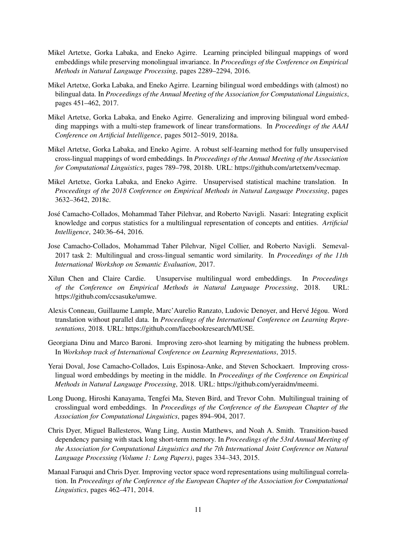- <span id="page-10-1"></span>Mikel Artetxe, Gorka Labaka, and Eneko Agirre. Learning principled bilingual mappings of word embeddings while preserving monolingual invariance. In *Proceedings of the Conference on Empirical Methods in Natural Language Processing*, pages 2289–2294, 2016.
- <span id="page-10-8"></span>Mikel Artetxe, Gorka Labaka, and Eneko Agirre. Learning bilingual word embeddings with (almost) no bilingual data. In *Proceedings of the Annual Meeting of the Association for Computational Linguistics*, pages 451–462, 2017.
- <span id="page-10-4"></span>Mikel Artetxe, Gorka Labaka, and Eneko Agirre. Generalizing and improving bilingual word embedding mappings with a multi-step framework of linear transformations. In *Proceedings of the AAAI Conference on Artificial Intelligence*, pages 5012–5019, 2018a.
- <span id="page-10-5"></span>Mikel Artetxe, Gorka Labaka, and Eneko Agirre. A robust self-learning method for fully unsupervised cross-lingual mappings of word embeddings. In *Proceedings of the Annual Meeting of the Association for Computational Linguistics*, pages 789–798, 2018b. URL: https://github.com/artetxem/vecmap.
- <span id="page-10-3"></span>Mikel Artetxe, Gorka Labaka, and Eneko Agirre. Unsupervised statistical machine translation. In *Proceedings of the 2018 Conference on Empirical Methods in Natural Language Processing*, pages 3632–3642, 2018c.
- <span id="page-10-13"></span>Jos´e Camacho-Collados, Mohammad Taher Pilehvar, and Roberto Navigli. Nasari: Integrating explicit knowledge and corpus statistics for a multilingual representation of concepts and entities. *Artificial Intelligence*, 240:36–64, 2016.
- <span id="page-10-10"></span>Jose Camacho-Collados, Mohammad Taher Pilehvar, Nigel Collier, and Roberto Navigli. Semeval-2017 task 2: Multilingual and cross-lingual semantic word similarity. In *Proceedings of the 11th International Workshop on Semantic Evaluation*, 2017.
- <span id="page-10-6"></span>Xilun Chen and Claire Cardie. Unsupervise multilingual word embeddings. In *Proceedings of the Conference on Empirical Methods in Natural Language Processing*, 2018. URL: https://github.com/ccsasuke/umwe.
- <span id="page-10-2"></span>Alexis Conneau, Guillaume Lample, Marc'Aurelio Ranzato, Ludovic Denoyer, and Hervé Jégou. Word translation without parallel data. In *Proceedings of the International Conference on Learning Representations*, 2018. URL: https://github.com/facebookresearch/MUSE.
- <span id="page-10-9"></span>Georgiana Dinu and Marco Baroni. Improving zero-shot learning by mitigating the hubness problem. In *Workshop track of International Conference on Learning Representations*, 2015.
- <span id="page-10-7"></span>Yerai Doval, Jose Camacho-Collados, Luis Espinosa-Anke, and Steven Schockaert. Improving crosslingual word embeddings by meeting in the middle. In *Proceedings of the Conference on Empirical Methods in Natural Language Processing*, 2018. URL: https://github.com/yeraidm/meemi.
- <span id="page-10-11"></span>Long Duong, Hiroshi Kanayama, Tengfei Ma, Steven Bird, and Trevor Cohn. Multilingual training of crosslingual word embeddings. In *Proceedings of the Conference of the European Chapter of the Association for Computational Linguistics*, pages 894–904, 2017.
- <span id="page-10-12"></span>Chris Dyer, Miguel Ballesteros, Wang Ling, Austin Matthews, and Noah A. Smith. Transition-based dependency parsing with stack long short-term memory. In *Proceedings of the 53rd Annual Meeting of the Association for Computational Linguistics and the 7th International Joint Conference on Natural Language Processing (Volume 1: Long Papers)*, pages 334–343, 2015.
- <span id="page-10-0"></span>Manaal Faruqui and Chris Dyer. Improving vector space word representations using multilingual correlation. In *Proceedings of the Conference of the European Chapter of the Association for Computational Linguistics*, pages 462–471, 2014.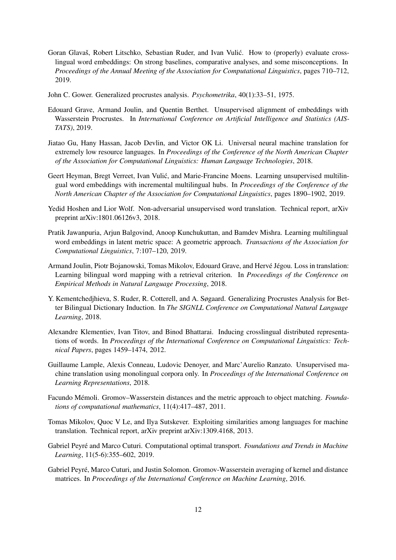- <span id="page-11-8"></span>Goran Glavaš, Robert Litschko, Sebastian Ruder, and Ivan Vulić. How to (properly) evaluate crosslingual word embeddings: On strong baselines, comparative analyses, and some misconceptions. In *Proceedings of the Annual Meeting of the Association for Computational Linguistics*, pages 710–712, 2019.
- <span id="page-11-12"></span>John C. Gower. Generalized procrustes analysis. *Psychometrika*, 40(1):33–51, 1975.
- <span id="page-11-6"></span>Edouard Grave, Armand Joulin, and Quentin Berthet. Unsupervised alignment of embeddings with Wasserstein Procrustes. In *International Conference on Artificial Intelligence and Statistics (AIS-TATS)*, 2019.
- <span id="page-11-2"></span>Jiatao Gu, Hany Hassan, Jacob Devlin, and Victor OK Li. Universal neural machine translation for extremely low resource languages. In *Proceedings of the Conference of the North American Chapter of the Association for Computational Linguistics: Human Language Technologies*, 2018.
- <span id="page-11-7"></span>Geert Heyman, Bregt Verreet, Ivan Vulić, and Marie-Francine Moens. Learning unsupervised multilingual word embeddings with incremental multilingual hubs. In *Proceedings of the Conference of the North American Chapter of the Association for Computational Linguistics*, pages 1890–1902, 2019.
- <span id="page-11-5"></span>Yedid Hoshen and Lior Wolf. Non-adversarial unsupervised word translation. Technical report, arXiv preprint arXiv:1801.06126v3, 2018.
- <span id="page-11-4"></span>Pratik Jawanpuria, Arjun Balgovind, Anoop Kunchukuttan, and Bamdev Mishra. Learning multilingual word embeddings in latent metric space: A geometric approach. *Transactions of the Association for Computational Linguistics*, 7:107–120, 2019.
- <span id="page-11-9"></span>Armand Joulin, Piotr Bojanowski, Tomas Mikolov, Edouard Grave, and Hervé Jégou. Loss in translation: Learning bilingual word mapping with a retrieval criterion. In *Proceedings of the Conference on Empirical Methods in Natural Language Processing*, 2018.
- <span id="page-11-11"></span>Y. Kementchedjhieva, S. Ruder, R. Cotterell, and A. Søgaard. Generalizing Procrustes Analysis for Better Bilingual Dictionary Induction. In *The SIGNLL Conference on Computational Natural Language Learning*, 2018.
- <span id="page-11-0"></span>Alexandre Klementiev, Ivan Titov, and Binod Bhattarai. Inducing crosslingual distributed representations of words. In *Proceedings of the International Conference on Computational Linguistics: Technical Papers*, pages 1459–1474, 2012.
- <span id="page-11-3"></span>Guillaume Lample, Alexis Conneau, Ludovic Denoyer, and Marc'Aurelio Ranzato. Unsupervised machine translation using monolingual corpora only. In *Proceedings of the International Conference on Learning Representations*, 2018.
- <span id="page-11-13"></span>Facundo Mémoli. Gromov–Wasserstein distances and the metric approach to object matching. *Foundations of computational mathematics*, 11(4):417–487, 2011.
- <span id="page-11-1"></span>Tomas Mikolov, Quoc V Le, and Ilya Sutskever. Exploiting similarities among languages for machine translation. Technical report, arXiv preprint arXiv:1309.4168, 2013.
- <span id="page-11-14"></span>Gabriel Peyré and Marco Cuturi. Computational optimal transport. *Foundations and Trends in Machine Learning*, 11(5-6):355–602, 2019.
- <span id="page-11-10"></span>Gabriel Peyré, Marco Cuturi, and Justin Solomon. Gromov-Wasserstein averaging of kernel and distance matrices. In *Proceedings of the International Conference on Machine Learning*, 2016.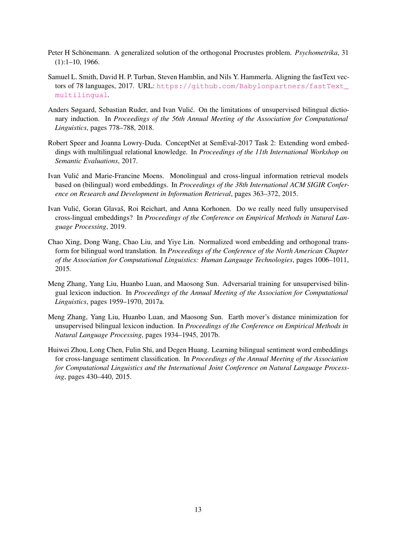- <span id="page-12-8"></span>Peter H Schönemann. A generalized solution of the orthogonal Procrustes problem. *Psychometrika*, 31 (1):1–10, 1966.
- <span id="page-12-3"></span>Samuel L. Smith, David H. P. Turban, Steven Hamblin, and Nils Y. Hammerla. Aligning the fastText vectors of 78 languages, 2017. URL: [https://github.com/Babylonpartners/fastText\\_](https://github.com/Babylonpartners/fastText_multilingual) [multilingual](https://github.com/Babylonpartners/fastText_multilingual).
- <span id="page-12-6"></span>Anders Søgaard, Sebastian Ruder, and Ivan Vulić. On the limitations of unsupervised bilingual dictionary induction. In *Proceedings of the 56th Annual Meeting of the Association for Computational Linguistics*, pages 778–788, 2018.
- <span id="page-12-9"></span>Robert Speer and Joanna Lowry-Duda. ConceptNet at SemEval-2017 Task 2: Extending word embeddings with multilingual relational knowledge. In *Proceedings of the 11th International Workshop on Semantic Evaluations*, 2017.
- <span id="page-12-0"></span>Ivan Vulić and Marie-Francine Moens. Monolingual and cross-lingual information retrieval models based on (bilingual) word embeddings. In *Proceedings of the 38th International ACM SIGIR Conference on Research and Development in Information Retrieval*, pages 363–372, 2015.
- <span id="page-12-7"></span>Ivan Vulić, Goran Glavaš, Roi Reichart, and Anna Korhonen. Do we really need fully unsupervised cross-lingual embeddings? In *Proceedings of the Conference on Empirical Methods in Natural Language Processing*, 2019.
- <span id="page-12-2"></span>Chao Xing, Dong Wang, Chao Liu, and Yiye Lin. Normalized word embedding and orthogonal transform for bilingual word translation. In *Proceedings of the Conference of the North American Chapter of the Association for Computational Linguistics: Human Language Technologies*, pages 1006–1011, 2015.
- <span id="page-12-4"></span>Meng Zhang, Yang Liu, Huanbo Luan, and Maosong Sun. Adversarial training for unsupervised bilingual lexicon induction. In *Proceedings of the Annual Meeting of the Association for Computational Linguistics*, pages 1959–1970, 2017a.
- <span id="page-12-5"></span>Meng Zhang, Yang Liu, Huanbo Luan, and Maosong Sun. Earth mover's distance minimization for unsupervised bilingual lexicon induction. In *Proceedings of the Conference on Empirical Methods in Natural Language Processing*, pages 1934–1945, 2017b.
- <span id="page-12-1"></span>Huiwei Zhou, Long Chen, Fulin Shi, and Degen Huang. Learning bilingual sentiment word embeddings for cross-language sentiment classification. In *Proceedings of the Annual Meeting of the Association for Computational Linguistics and the International Joint Conference on Natural Language Processing*, pages 430–440, 2015.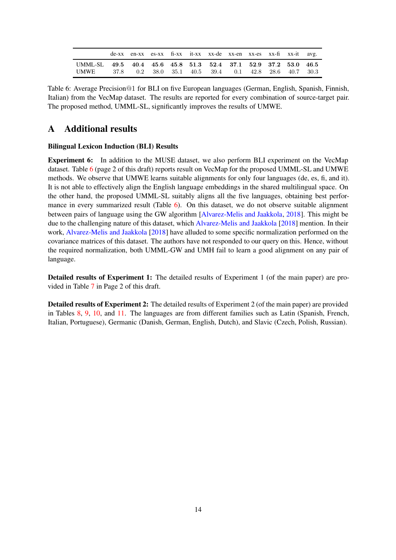<span id="page-13-1"></span>

|                                                                |  |  | de-xx en-xx es-xx fi-xx it-xx xx-de xx-en xx-es xx-fi xx-it avg. |  |  |  |
|----------------------------------------------------------------|--|--|------------------------------------------------------------------|--|--|--|
| UMML-SL 49.5 40.4 45.6 45.8 51.3 52.4 37.1 52.9 37.2 53.0 46.5 |  |  |                                                                  |  |  |  |
| <b>UMWE</b>                                                    |  |  | 37.8 0.2 38.0 35.1 40.5 39.4 0.1 42.8 28.6 40.7 30.3             |  |  |  |

Table 6: Average Precision@1 for BLI on five European languages (German, English, Spanish, Finnish, Italian) from the VecMap dataset. The results are reported for every combination of source-target pair. The proposed method, UMML-SL, significantly improves the results of UMWE.

# <span id="page-13-0"></span>A Additional results

#### Bilingual Lexicon Induction (BLI) Results

Experiment 6: In addition to the MUSE dataset, we also perform BLI experiment on the VecMap dataset. Table [6](#page-13-1) (page 2 of this draft) reports result on VecMap for the proposed UMML-SL and UMWE methods. We observe that UMWE learns suitable alignments for only four languages (de, es, fi, and it). It is not able to effectively align the English language embeddings in the shared multilingual space. On the other hand, the proposed UMML-SL suitably aligns all the five languages, obtaining best performance in every summarized result (Table  $6$ ). On this dataset, we do not observe suitable alignment between pairs of language using the GW algorithm [\[Alvarez-Melis and Jaakkola](#page-9-1), [2018](#page-9-1)]. This might be due to the challenging nature of this dataset, which [Alvarez-Melis and Jaakkola](#page-9-1) [\[2018](#page-9-1)] mention. In their work, [Alvarez-Melis and Jaakkola](#page-9-1) [\[2018](#page-9-1)] have alluded to some specific normalization performed on the covariance matrices of this dataset. The authors have not responded to our query on this. Hence, without the required normalization, both UMML-GW and UMH fail to learn a good alignment on any pair of language.

Detailed results of Experiment 1: The detailed results of Experiment 1 (of the main paper) are provided in Table [7](#page-14-0) in Page 2 of this draft.

Detailed results of Experiment 2: The detailed results of Experiment 2 (of the main paper) are provided in Tables [8,](#page-15-0) [9,](#page-16-0) [10,](#page-17-0) and [11.](#page-18-0) The languages are from different families such as Latin (Spanish, French, Italian, Portuguese), Germanic (Danish, German, English, Dutch), and Slavic (Czech, Polish, Russian).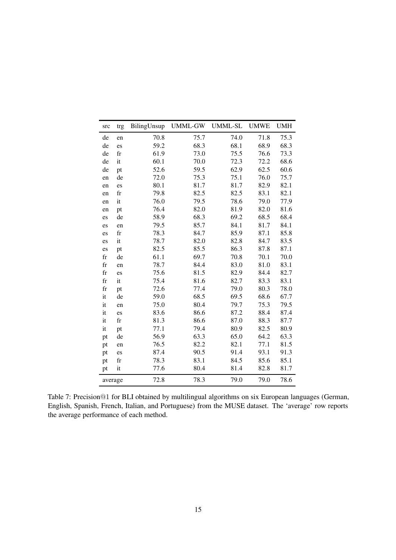<span id="page-14-0"></span>

| src         | trg         | BilingUnsup | <b>UMML-GW</b> | <b>UMML-SL</b> | <b>UMWE</b> | <b>UMH</b> |
|-------------|-------------|-------------|----------------|----------------|-------------|------------|
| de          | en          | 70.8        | 75.7           | 74.0           | 71.8        | 75.3       |
| de          | es          | 59.2        | 68.3           | 68.1           | 68.9        | 68.3       |
| de          | fr          | 61.9        | 73.0           | 75.5           | 76.6        | 73.3       |
| de          | it          | 60.1        | 70.0           | 72.3           | 72.2        | 68.6       |
| de          | pt          | 52.6        | 59.5           | 62.9           | 62.5        | 60.6       |
| en          | de          | 72.0        | 75.3           | 75.1           | 76.0        | 75.7       |
| en          | es          | 80.1        | 81.7           | 81.7           | 82.9        | 82.1       |
| en          | fr          | 79.8        | 82.5           | 82.5           | 83.1        | 82.1       |
| en          | it          | 76.0        | 79.5           | 78.6           | 79.0        | 77.9       |
| en          | pt          | 76.4        | 82.0           | 81.9           | 82.0        | 81.6       |
| es          | de          | 58.9        | 68.3           | 69.2           | 68.5        | 68.4       |
| es          | en          | 79.5        | 85.7           | 84.1           | 81.7        | 84.1       |
| es          | $_{\rm fr}$ | 78.3        | 84.7           | 85.9           | 87.1        | 85.8       |
| es          | it          | 78.7        | 82.0           | 82.8           | 84.7        | 83.5       |
| es          | pt          | 82.5        | 85.5           | 86.3           | 87.8        | 87.1       |
| $_{\rm fr}$ | de          | 61.1        | 69.7           | 70.8           | 70.1        | 70.0       |
| $_{\rm fr}$ | en          | 78.7        | 84.4           | 83.0           | 81.0        | 83.1       |
| $_{\rm fr}$ | es          | 75.6        | 81.5           | 82.9           | 84.4        | 82.7       |
| $_{\rm fr}$ | it          | 75.4        | 81.6           | 82.7           | 83.3        | 83.1       |
| $_{\rm fr}$ | pt          | 72.6        | 77.4           | 79.0           | 80.3        | 78.0       |
| it          | de          | 59.0        | 68.5           | 69.5           | 68.6        | 67.7       |
| it          | en          | 75.0        | 80.4           | 79.7           | 75.3        | 79.5       |
| it          | es          | 83.6        | 86.6           | 87.2           | 88.4        | 87.4       |
| it          | fr          | 81.3        | 86.6           | 87.0           | 88.3        | 87.7       |
| it          | pt          | 77.1        | 79.4           | 80.9           | 82.5        | 80.9       |
| pt          | de          | 56.9        | 63.3           | 65.0           | 64.2        | 63.3       |
| pt          | en          | 76.5        | 82.2           | 82.1           | 77.1        | 81.5       |
| pt          | es          | 87.4        | 90.5           | 91.4           | 93.1        | 91.3       |
| pt          | $_{\rm fr}$ | 78.3        | 83.1           | 84.5           | 85.6        | 85.1       |
| pt          | it          | 77.6        | 80.4           | 81.4           | 82.8        | 81.7       |
| average     |             | 72.8        | 78.3           | 79.0           | 79.0        | 78.6       |

Table 7: Precision@1 for BLI obtained by multilingual algorithms on six European languages (German, English, Spanish, French, Italian, and Portuguese) from the MUSE dataset. The 'average' row reports the average performance of each method.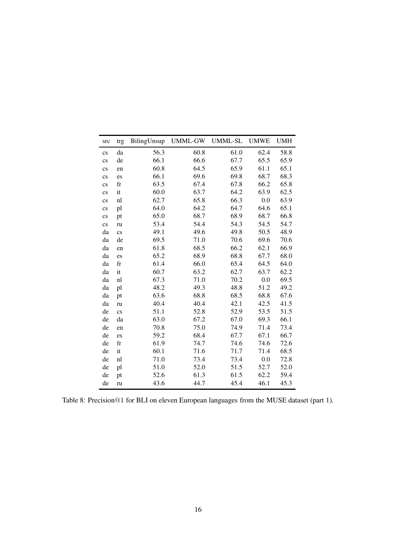<span id="page-15-0"></span>

| src                    | trg                    | BilingUnsup | <b>UMML-GW</b> | <b>UMML-SL</b> | <b>UMWE</b> | <b>UMH</b> |
|------------------------|------------------------|-------------|----------------|----------------|-------------|------------|
| $\mathbf{c}\mathbf{s}$ | da                     | 56.3        | 60.8           | 61.0           | 62.4        | 58.8       |
| $\mathbf{c}\mathbf{s}$ | de                     | 66.1        | 66.6           | 67.7           | 65.5        | 65.9       |
| $\mathbf{c}\mathbf{s}$ | en                     | 60.8        | 64.5           | 65.9           | 61.1        | 65.1       |
| $\mathbf{c}\mathbf{s}$ | es                     | 66.1        | 69.6           | 69.8           | 68.7        | 68.3       |
| $\mathbf{c}\mathbf{s}$ | $_{\rm fr}$            | 63.5        | 67.4           | 67.8           | 66.2        | 65.8       |
| $\mathbf{c}\mathbf{s}$ | it                     | 60.0        | 63.7           | 64.2           | 63.9        | 62.5       |
| $\mathbf{c}\mathbf{s}$ | nl                     | 62.7        | 65.8           | 66.3           | 0.0         | 63.9       |
| $\mathbf{c}\mathbf{s}$ | pl                     | 64.0        | 64.2           | 64.7           | 64.6        | 65.1       |
| $\rm{cs}$              | pt                     | 65.0        | 68.7           | 68.9           | 68.7        | 66.8       |
| $\overline{c}$ s       | ru                     | 53.4        | 54.4           | 54.3           | 54.5        | 54.7       |
| da                     | $\mathbf{c}\mathbf{s}$ | 49.1        | 49.6           | 49.8           | 50.5        | 48.9       |
| da                     | de                     | 69.5        | 71.0           | 70.6           | 69.6        | 70.6       |
| da                     | en                     | 61.8        | 68.5           | 66.2           | 62.1        | 66.9       |
| da                     | es                     | 65.2        | 68.9           | 68.8           | 67.7        | 68.0       |
| da                     | $_{\rm fr}$            | 61.4        | 66.0           | 65.4           | 64.5        | 64.0       |
| da                     | it                     | 60.7        | 63.2           | 62.7           | 63.7        | 62.2       |
| da                     | nl                     | 67.3        | 71.0           | 70.2           | 0.0         | 69.5       |
| da                     | pl                     | 48.2        | 49.3           | 48.8           | 51.2        | 49.2       |
| da                     | pt                     | 63.6        | 68.8           | 68.5           | 68.8        | 67.6       |
| da                     | ru                     | 40.4        | 40.4           | 42.1           | 42.5        | 41.5       |
| de                     | $\mathbf{c}\mathbf{s}$ | 51.1        | 52.8           | 52.9           | 53.5        | 51.5       |
| de                     | da                     | 63.0        | 67.2           | 67.0           | 69.3        | 66.1       |
| de                     | en                     | 70.8        | 75.0           | 74.9           | 71.4        | 73.4       |
| de                     | es                     | 59.2        | 68.4           | 67.7           | 67.1        | 66.7       |
| de                     | $_{\rm fr}$            | 61.9        | 74.7           | 74.6           | 74.6        | 72.6       |
| de                     | it                     | 60.1        | 71.6           | 71.7           | 71.4        | 68.5       |
| de                     | nl                     | 71.0        | 73.4           | 73.4           | 0.0         | 72.8       |
| de                     | pl                     | 51.0        | 52.0           | 51.5           | 52.7        | 52.0       |
| de                     | pt                     | 52.6        | 61.3           | 61.5           | 62.2        | 59.4       |
| de                     | ru                     | 43.6        | 44.7           | 45.4           | 46.1        | 45.3       |

Table 8: Precision@1 for BLI on eleven European languages from the MUSE dataset (part 1).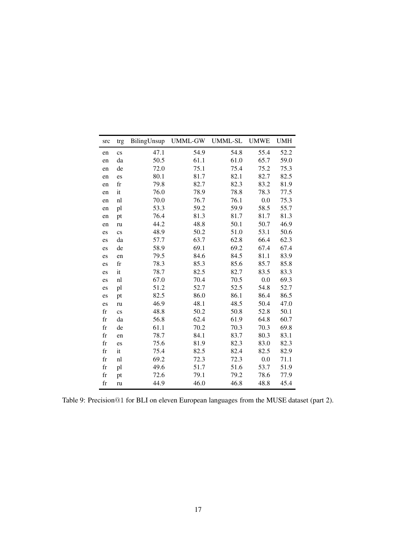<span id="page-16-0"></span>

| src                 | trg                    | BilingUnsup | <b>UMML-GW</b> | UMML-SL | <b>UMWE</b> | <b>UMH</b> |
|---------------------|------------------------|-------------|----------------|---------|-------------|------------|
| en                  | $\mathbf{c}\mathbf{s}$ | 47.1        | 54.9           | 54.8    | 55.4        | 52.2       |
| en                  | da                     | 50.5        | 61.1           | 61.0    | 65.7        | 59.0       |
| en                  | de                     | 72.0        | 75.1           | 75.4    | 75.2        | 75.3       |
| en                  | es                     | 80.1        | 81.7           | 82.1    | 82.7        | 82.5       |
| en                  | $_{\rm fr}$            | 79.8        | 82.7           | 82.3    | 83.2        | 81.9       |
| en                  | it                     | 76.0        | 78.9           | 78.8    | 78.3        | 77.5       |
| en                  | nl                     | 70.0        | 76.7           | 76.1    | 0.0         | 75.3       |
| en                  | pl                     | 53.3        | 59.2           | 59.9    | 58.5        | 55.7       |
| en                  | pt                     | 76.4        | 81.3           | 81.7    | 81.7        | 81.3       |
| en                  | ru                     | 44.2        | 48.8           | 50.1    | 50.7        | 46.9       |
| es                  | $\mathbf{c}\mathbf{s}$ | 48.9        | 50.2           | 51.0    | 53.1        | 50.6       |
| es                  | da                     | 57.7        | 63.7           | 62.8    | 66.4        | 62.3       |
| es                  | de                     | 58.9        | 69.1           | 69.2    | 67.4        | 67.4       |
| es                  | en                     | 79.5        | 84.6           | 84.5    | 81.1        | 83.9       |
| es                  | fr                     | 78.3        | 85.3           | 85.6    | 85.7        | 85.8       |
| es                  | it                     | 78.7        | 82.5           | 82.7    | 83.5        | 83.3       |
| es                  | nl                     | 67.0        | 70.4           | 70.5    | 0.0         | 69.3       |
| es                  | pl                     | 51.2        | 52.7           | 52.5    | 54.8        | 52.7       |
| es                  | pt                     | 82.5        | 86.0           | 86.1    | 86.4        | 86.5       |
| es                  | ru                     | 46.9        | 48.1           | 48.5    | 50.4        | 47.0       |
| fr                  | $\mathbf{c}\mathbf{s}$ | 48.8        | 50.2           | 50.8    | 52.8        | 50.1       |
| $_{\rm fr}$         | da                     | 56.8        | 62.4           | 61.9    | 64.8        | 60.7       |
| $\operatorname{fr}$ | de                     | 61.1        | 70.2           | 70.3    | 70.3        | 69.8       |
| fr                  | en                     | 78.7        | 84.1           | 83.7    | 80.3        | 83.1       |
| $_{\rm fr}$         | es                     | 75.6        | 81.9           | 82.3    | 83.0        | 82.3       |
| fr                  | it                     | 75.4        | 82.5           | 82.4    | 82.5        | 82.9       |
| $_{\rm fr}$         | nl                     | 69.2        | 72.3           | 72.3    | 0.0         | 71.1       |
| $_{\rm fr}$         | pl                     | 49.6        | 51.7           | 51.6    | 53.7        | 51.9       |
| $_{\rm fr}$         | pt                     | 72.6        | 79.1           | 79.2    | 78.6        | 77.9       |
| $_{\rm fr}$         | ru                     | 44.9        | 46.0           | 46.8    | 48.8        | 45.4       |

Table 9: Precision@1 for BLI on eleven European languages from the MUSE dataset (part 2).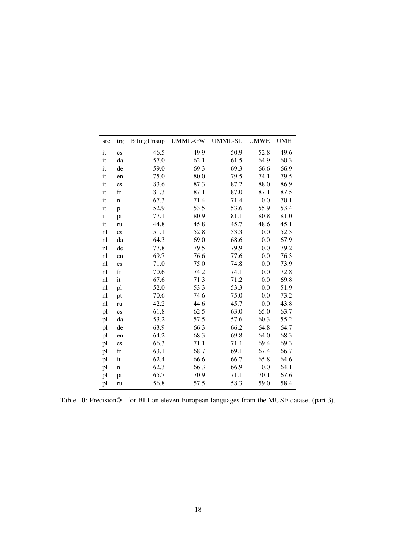<span id="page-17-0"></span>

| src | trg                    | BilingUnsup | UMML-GW | <b>UMML-SL</b> | <b>UMWE</b> | <b>UMH</b> |
|-----|------------------------|-------------|---------|----------------|-------------|------------|
| it  | $\mathbf{c}\mathbf{s}$ | 46.5        | 49.9    | 50.9           | 52.8        | 49.6       |
| it  | da                     | 57.0        | 62.1    | 61.5           | 64.9        | 60.3       |
| it  | de                     | 59.0        | 69.3    | 69.3           | 66.6        | 66.9       |
| it  | en                     | 75.0        | 80.0    | 79.5           | 74.1        | 79.5       |
| it  | es                     | 83.6        | 87.3    | 87.2           | 88.0        | 86.9       |
| it  | $_{\rm fr}$            | 81.3        | 87.1    | 87.0           | 87.1        | 87.5       |
| it  | nl                     | 67.3        | 71.4    | 71.4           | 0.0         | 70.1       |
| it  | pl                     | 52.9        | 53.5    | 53.6           | 55.9        | 53.4       |
| it  | pt                     | 77.1        | 80.9    | 81.1           | 80.8        | 81.0       |
| it  | ru                     | 44.8        | 45.8    | 45.7           | 48.6        | 45.1       |
| nl  | $\mathbf{c}\mathbf{s}$ | 51.1        | 52.8    | 53.3           | 0.0         | 52.3       |
| nl  | da                     | 64.3        | 69.0    | 68.6           | 0.0         | 67.9       |
| nl  | de                     | 77.8        | 79.5    | 79.9           | 0.0         | 79.2       |
| nl  | en                     | 69.7        | 76.6    | 77.6           | 0.0         | 76.3       |
| nl  | es                     | 71.0        | 75.0    | 74.8           | 0.0         | 73.9       |
| nl  | fr                     | 70.6        | 74.2    | 74.1           | 0.0         | 72.8       |
| nl  | it                     | 67.6        | 71.3    | 71.2           | 0.0         | 69.8       |
| nl  | pl                     | 52.0        | 53.3    | 53.3           | 0.0         | 51.9       |
| nl  | pt                     | 70.6        | 74.6    | 75.0           | 0.0         | 73.2       |
| nl  | ru                     | 42.2        | 44.6    | 45.7           | 0.0         | 43.8       |
| pl  | $\mathbf{c}\mathbf{s}$ | 61.8        | 62.5    | 63.0           | 65.0        | 63.7       |
| pl  | da                     | 53.2        | 57.5    | 57.6           | 60.3        | 55.2       |
| pl  | de                     | 63.9        | 66.3    | 66.2           | 64.8        | 64.7       |
| pl  | en                     | 64.2        | 68.3    | 69.8           | 64.0        | 68.3       |
| pl  | es                     | 66.3        | 71.1    | 71.1           | 69.4        | 69.3       |
| pl  | fr                     | 63.1        | 68.7    | 69.1           | 67.4        | 66.7       |
| pl  | it                     | 62.4        | 66.6    | 66.7           | 65.8        | 64.6       |
| pl  | nl                     | 62.3        | 66.3    | 66.9           | 0.0         | 64.1       |
| pl  | pt                     | 65.7        | 70.9    | 71.1           | 70.1        | 67.6       |
| pl  | ru                     | 56.8        | 57.5    | 58.3           | 59.0        | 58.4       |

Table 10: Precision@1 for BLI on eleven European languages from the MUSE dataset (part 3).